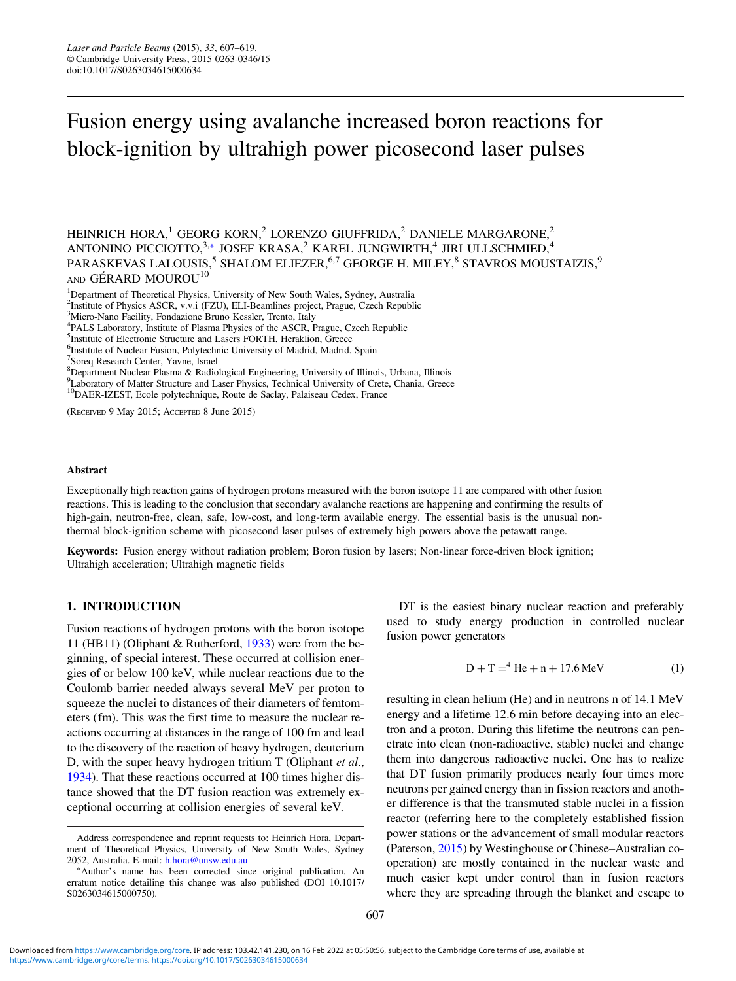# Fusion energy using avalanche increased boron reactions for block-ignition by ultrahigh power picosecond laser pulses

HEINRICH HORA,<sup>1</sup> GEORG KORN,<sup>2</sup> LORENZO GIUFFRIDA,<sup>2</sup> DANIELE MARGARONE,<sup>2</sup> ANTONINO PICCIOTTO, $^{3,\ast}$  JOSEF KRASA, $^2$  KAREL JUNGWIRTH, $^4$  JIRI ULLSCHMIED, $^4$ PARASKEVAS LALOUSIS, $^5$  SHALOM ELIEZER, $^{6,7}$  GEORGE H. MILEY, $^8$  STAVROS MOUSTAIZIS, $^9$ AND GÉRARD MOUROU<sup>10</sup>

<sup>1</sup>Department of Theoretical Physics, University of New South Wales, Sydney, Australia

- <sup>4</sup>PALS Laboratory, Institute of Plasma Physics of the ASCR, Prague, Czech Republic
- 5 Institute of Electronic Structure and Lasers FORTH, Heraklion, Greece
- 6 Institute of Nuclear Fusion, Polytechnic University of Madrid, Madrid, Spain

- 8 Department Nuclear Plasma & Radiological Engineering, University of Illinois, Urbana, Illinois
- 9 Laboratory of Matter Structure and Laser Physics, Technical University of Crete, Chania, Greece

<sup>10</sup>DAER-IZEST, Ecole polytechnique, Route de Saclay, Palaiseau Cedex, France

(RECEIVED 9 May 2015; ACCEPTED 8 June 2015)

#### Abstract

Exceptionally high reaction gains of hydrogen protons measured with the boron isotope 11 are compared with other fusion reactions. This is leading to the conclusion that secondary avalanche reactions are happening and confirming the results of high-gain, neutron-free, clean, safe, low-cost, and long-term available energy. The essential basis is the unusual nonthermal block-ignition scheme with picosecond laser pulses of extremely high powers above the petawatt range.

Keywords: Fusion energy without radiation problem; Boron fusion by lasers; Non-linear force-driven block ignition; Ultrahigh acceleration; Ultrahigh magnetic fields

## 1. INTRODUCTION

Fusion reactions of hydrogen protons with the boron isotope 11 (HB11) (Oliphant & Rutherford, [1933](#page-12-0)) were from the beginning, of special interest. These occurred at collision energies of or below 100 keV, while nuclear reactions due to the Coulomb barrier needed always several MeV per proton to squeeze the nuclei to distances of their diameters of femtometers (fm). This was the first time to measure the nuclear reactions occurring at distances in the range of 100 fm and lead to the discovery of the reaction of heavy hydrogen, deuterium D, with the super heavy hydrogen tritium T (Oliphant et al., [1934](#page-12-0)). That these reactions occurred at 100 times higher distance showed that the DT fusion reaction was extremely exceptional occurring at collision energies of several keV.

er difference is that the transmuted stable nuclei in a fission reactor (referring here to the completely established fission power stations or the advancement of small modular reactors (Paterson, [2015\)](#page-12-0) by Westinghouse or Chinese–Australian cooperation) are mostly contained in the nuclear waste and much easier kept under control than in fusion reactors where they are spreading through the blanket and escape to

DT is the easiest binary nuclear reaction and preferably used to study energy production in controlled nuclear

resulting in clean helium (He) and in neutrons n of 14.1 MeV energy and a lifetime 12.6 min before decaying into an electron and a proton. During this lifetime the neutrons can penetrate into clean (non-radioactive, stable) nuclei and change them into dangerous radioactive nuclei. One has to realize that DT fusion primarily produces nearly four times more neutrons per gained energy than in fission reactors and anoth-

 $D + T = 4$  He + n + 17.6 MeV (1)

fusion power generators

<sup>&</sup>lt;sup>2</sup>Institute of Physics ASCR, v.v.i (FZU), ELI-Beamlines project, Prague, Czech Republic

<sup>&</sup>lt;sup>3</sup>Micro-Nano Facility, Fondazione Bruno Kessler, Trento, Italy

<sup>7</sup> Soreq Research Center, Yavne, Israel

Address correspondence and reprint requests to: Heinrich Hora, Department of Theoretical Physics, University of New South Wales, Sydney 2052, Australia. E-mail: [h.hora@unsw.edu.au](mailto:h.hora@unsw.edu.au)

<sup>∗</sup>Author's name has been corrected since original publication. An erratum notice detailing this change was also published (DOI 10.1017/ S0263034615000750).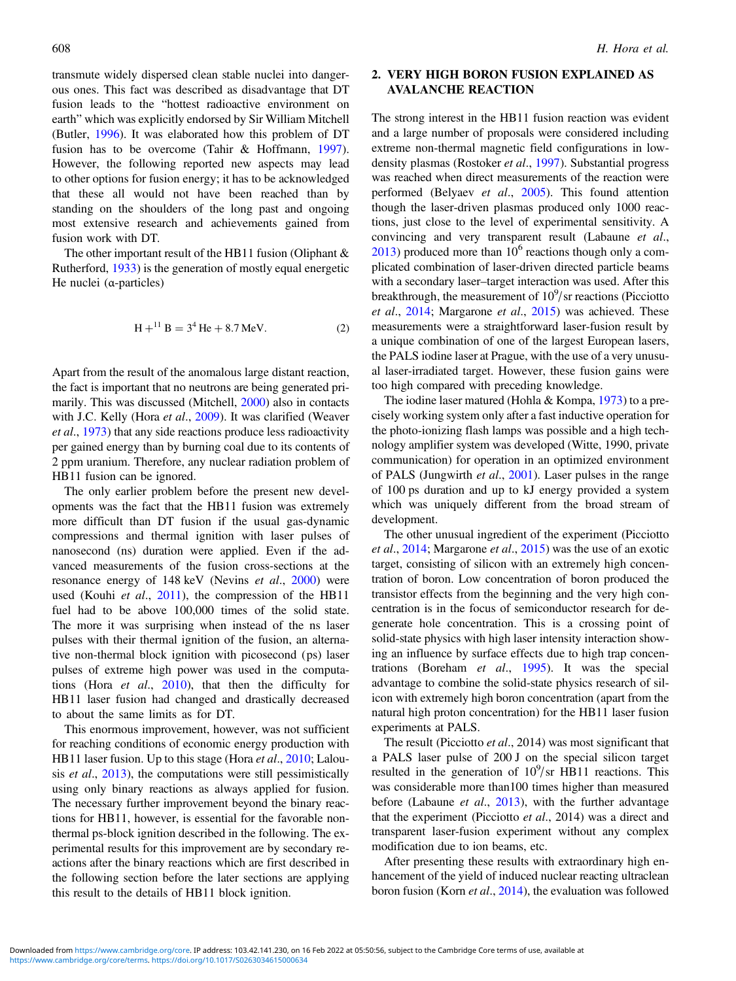transmute widely dispersed clean stable nuclei into dangerous ones. This fact was described as disadvantage that DT fusion leads to the "hottest radioactive environment on earth" which was explicitly endorsed by Sir William Mitchell (Butler, [1996](#page-10-0)). It was elaborated how this problem of DT fusion has to be overcome (Tahir & Hoffmann, [1997](#page-12-0)). However, the following reported new aspects may lead to other options for fusion energy; it has to be acknowledged that these all would not have been reached than by standing on the shoulders of the long past and ongoing most extensive research and achievements gained from fusion work with DT.

The other important result of the HB11 fusion (Oliphant & Rutherford, [1933](#page-12-0)) is the generation of mostly equal energetic He nuclei (α-particles)

$$
H +11 B = 34 He + 8.7 MeV.
$$
 (2)

Apart from the result of the anomalous large distant reaction, the fact is important that no neutrons are being generated primarily. This was discussed (Mitchell, [2000](#page-11-0)) also in contacts with J.C. Kelly (Hora et al., [2009](#page-11-0)). It was clarified (Weaver et al., [1973](#page-12-0)) that any side reactions produce less radioactivity per gained energy than by burning coal due to its contents of 2 ppm uranium. Therefore, any nuclear radiation problem of HB11 fusion can be ignored.

The only earlier problem before the present new developments was the fact that the HB11 fusion was extremely more difficult than DT fusion if the usual gas-dynamic compressions and thermal ignition with laser pulses of nanosecond (ns) duration were applied. Even if the advanced measurements of the fusion cross-sections at the resonance energy of 148 keV (Nevins et al., [2000](#page-11-0)) were used (Kouhi *et al.*, [2011\)](#page-11-0), the compression of the HB11 fuel had to be above 100,000 times of the solid state. The more it was surprising when instead of the ns laser pulses with their thermal ignition of the fusion, an alternative non-thermal block ignition with picosecond (ps) laser pulses of extreme high power was used in the computations (Hora et al., [2010\)](#page-11-0), that then the difficulty for HB11 laser fusion had changed and drastically decreased to about the same limits as for DT.

This enormous improvement, however, was not sufficient for reaching conditions of economic energy production with HB11 laser fusion. Up to this stage (Hora *et al.*, [2010;](#page-11-0) Lalousis *et al.*, [2013](#page-11-0)), the computations were still pessimistically using only binary reactions as always applied for fusion. The necessary further improvement beyond the binary reactions for HB11, however, is essential for the favorable nonthermal ps-block ignition described in the following. The experimental results for this improvement are by secondary reactions after the binary reactions which are first described in the following section before the later sections are applying this result to the details of HB11 block ignition.

# 2. VERY HIGH BORON FUSION EXPLAINED AS AVALANCHE REACTION

The strong interest in the HB11 fusion reaction was evident and a large number of proposals were considered including extreme non-thermal magnetic field configurations in low-density plasmas (Rostoker et al., [1997](#page-12-0)). Substantial progress was reached when direct measurements of the reaction were performed (Belyaev et al., [2005\)](#page-10-0). This found attention though the laser-driven plasmas produced only 1000 reactions, just close to the level of experimental sensitivity. A convincing and very transparent result (Labaune et al.,  $2013$ ) produced more than  $10<sup>6</sup>$  reactions though only a complicated combination of laser-driven directed particle beams with a secondary laser–target interaction was used. After this breakthrough, the measurement of  $10^9$ /sr reactions (Picciotto et al., [2014;](#page-12-0) Margarone et al., [2015\)](#page-11-0) was achieved. These measurements were a straightforward laser-fusion result by a unique combination of one of the largest European lasers, the PALS iodine laser at Prague, with the use of a very unusual laser-irradiated target. However, these fusion gains were too high compared with preceding knowledge.

The iodine laser matured (Hohla & Kompa, [1973\)](#page-10-0) to a precisely working system only after a fast inductive operation for the photo-ionizing flash lamps was possible and a high technology amplifier system was developed (Witte, 1990, private communication) for operation in an optimized environment of PALS (Jungwirth et al., [2001\)](#page-11-0). Laser pulses in the range of 100 ps duration and up to kJ energy provided a system which was uniquely different from the broad stream of development.

The other unusual ingredient of the experiment (Picciotto et al., [2014;](#page-12-0) Margarone et al., [2015](#page-11-0)) was the use of an exotic target, consisting of silicon with an extremely high concentration of boron. Low concentration of boron produced the transistor effects from the beginning and the very high concentration is in the focus of semiconductor research for degenerate hole concentration. This is a crossing point of solid-state physics with high laser intensity interaction showing an influence by surface effects due to high trap concentrations (Boreham et al., [1995](#page-10-0)). It was the special advantage to combine the solid-state physics research of silicon with extremely high boron concentration (apart from the natural high proton concentration) for the HB11 laser fusion experiments at PALS.

The result (Picciotto et al., 2014) was most significant that a PALS laser pulse of 200 J on the special silicon target resulted in the generation of  $10^9$ /sr HB11 reactions. This was considerable more than100 times higher than measured before (Labaune et al., [2013\)](#page-11-0), with the further advantage that the experiment (Picciotto et al., 2014) was a direct and transparent laser-fusion experiment without any complex modification due to ion beams, etc.

After presenting these results with extraordinary high enhancement of the yield of induced nuclear reacting ultraclean boron fusion (Korn et al., [2014](#page-11-0)), the evaluation was followed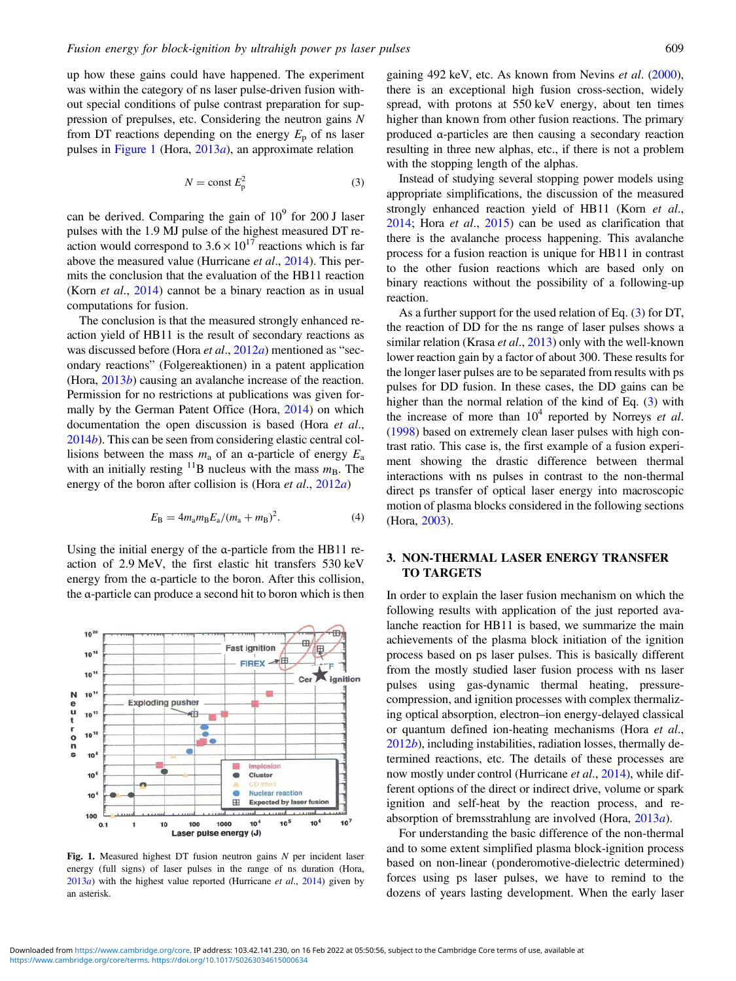<span id="page-2-0"></span>up how these gains could have happened. The experiment was within the category of ns laser pulse-driven fusion without special conditions of pulse contrast preparation for suppression of prepulses, etc. Considering the neutron gains N from DT reactions depending on the energy  $E_p$  of ns laser pulses in Figure 1 (Hora,  $2013a$  $2013a$ ), an approximate relation

$$
N = \text{const } E_{\text{p}}^2 \tag{3}
$$

can be derived. Comparing the gain of  $10<sup>9</sup>$  for 200 J laser pulses with the 1.9 MJ pulse of the highest measured DT reaction would correspond to  $3.6 \times 10^{17}$  reactions which is far above the measured value (Hurricane et al., [2014\)](#page-11-0). This permits the conclusion that the evaluation of the HB11 reaction (Korn *et al.*, [2014](#page-11-0)) cannot be a binary reaction as in usual computations for fusion.

The conclusion is that the measured strongly enhanced reaction yield of HB11 is the result of secondary reactions as was discussed before (Hora *et al.*, [2012](#page-11-0)*a*) mentioned as "secondary reactions" (Folgereaktionen) in a patent application (Hora, [2013](#page-10-0)b) causing an avalanche increase of the reaction. Permission for no restrictions at publications was given formally by the German Patent Office (Hora, [2014\)](#page-10-0) on which documentation the open discussion is based (Hora *et al.*, [2014](#page-10-0)b). This can be seen from considering elastic central collisions between the mass  $m_a$  of an α-particle of energy  $E_a$ with an initially resting  $11\text{B}$  nucleus with the mass  $m_\text{B}$ . The energy of the boron after collision is (Hora et al., [2012](#page-11-0)a)

$$
E_{\rm B} = 4m_{\rm a}m_{\rm B}E_{\rm a}/(m_{\rm a} + m_{\rm B})^2. \tag{4}
$$

Using the initial energy of the α-particle from the HB11 reaction of 2.9 MeV, the first elastic hit transfers 530 keV energy from the α-particle to the boron. After this collision, the α-particle can produce a second hit to boron which is then



Fig. 1. Measured highest DT fusion neutron gains  $N$  per incident laser energy (full signs) of laser pulses in the range of ns duration (Hora,  $2013a$  $2013a$ ) with the highest value reported (Hurricane *et al.*,  $2014$ ) given by an asterisk.

gaining 492 keV, etc. As known from Nevins et al. [\(2000](#page-11-0)), there is an exceptional high fusion cross-section, widely spread, with protons at 550 keV energy, about ten times higher than known from other fusion reactions. The primary produced α-particles are then causing a secondary reaction resulting in three new alphas, etc., if there is not a problem with the stopping length of the alphas.

Instead of studying several stopping power models using appropriate simplifications, the discussion of the measured strongly enhanced reaction yield of HB11 (Korn *et al.*, [2014;](#page-11-0) Hora et al., [2015](#page-11-0)) can be used as clarification that there is the avalanche process happening. This avalanche process for a fusion reaction is unique for HB11 in contrast to the other fusion reactions which are based only on binary reactions without the possibility of a following-up reaction.

As a further support for the used relation of Eq. (3) for DT, the reaction of DD for the ns range of laser pulses shows a similar relation (Krasa *et al.*, [2013\)](#page-11-0) only with the well-known lower reaction gain by a factor of about 300. These results for the longer laser pulses are to be separated from results with ps pulses for DD fusion. In these cases, the DD gains can be higher than the normal relation of the kind of Eq. (3) with the increase of more than  $10^4$  reported by Norreys *et al.* [\(1998](#page-11-0)) based on extremely clean laser pulses with high contrast ratio. This case is, the first example of a fusion experiment showing the drastic difference between thermal interactions with ns pulses in contrast to the non-thermal direct ps transfer of optical laser energy into macroscopic motion of plasma blocks considered in the following sections (Hora, [2003](#page-10-0)).

## 3. NON-THERMAL LASER ENERGY TRANSFER TO TARGETS

In order to explain the laser fusion mechanism on which the following results with application of the just reported avalanche reaction for HB11 is based, we summarize the main achievements of the plasma block initiation of the ignition process based on ps laser pulses. This is basically different from the mostly studied laser fusion process with ns laser pulses using gas-dynamic thermal heating, pressurecompression, and ignition processes with complex thermalizing optical absorption, electron–ion energy-delayed classical or quantum defined ion-heating mechanisms (Hora et al., [2012](#page-11-0)b), including instabilities, radiation losses, thermally determined reactions, etc. The details of these processes are now mostly under control (Hurricane *et al.*, [2014](#page-11-0)), while different options of the direct or indirect drive, volume or spark ignition and self-heat by the reaction process, and reabsorption of bremsstrahlung are involved (Hora, [2013](#page-10-0)a).

For understanding the basic difference of the non-thermal and to some extent simplified plasma block-ignition process based on non-linear (ponderomotive-dielectric determined) forces using ps laser pulses, we have to remind to the dozens of years lasting development. When the early laser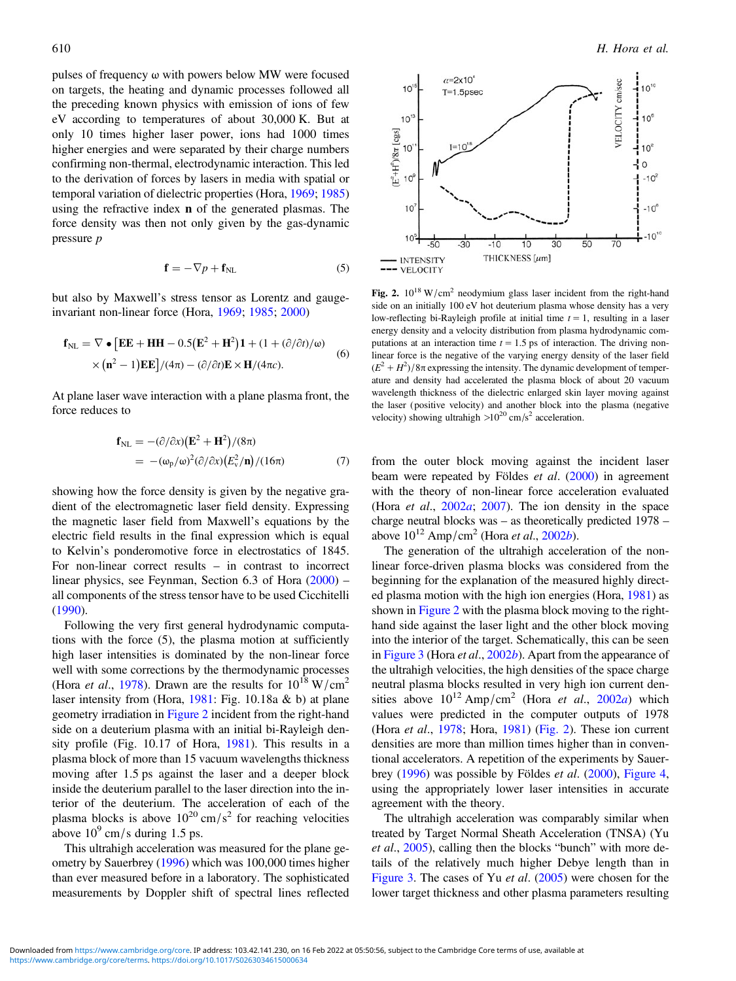<span id="page-3-0"></span>pulses of frequency ω with powers below MW were focused on targets, the heating and dynamic processes followed all the preceding known physics with emission of ions of few eV according to temperatures of about 30,000 K. But at only 10 times higher laser power, ions had 1000 times higher energies and were separated by their charge numbers confirming non-thermal, electrodynamic interaction. This led to the derivation of forces by lasers in media with spatial or temporal variation of dielectric properties (Hora, [1969;](#page-10-0) [1985\)](#page-10-0) using the refractive index n of the generated plasmas. The force density was then not only given by the gas-dynamic pressure p

$$
\mathbf{f} = -\nabla p + \mathbf{f}_{\text{NL}} \tag{5}
$$

but also by Maxwell's stress tensor as Lorentz and gaugeinvariant non-linear force (Hora, [1969](#page-10-0); [1985;](#page-10-0) [2000\)](#page-10-0)

$$
\mathbf{f}_{\text{NL}} = \nabla \bullet \left[ \mathbf{EE} + \mathbf{HH} - 0.5(\mathbf{E}^2 + \mathbf{H}^2) \mathbf{1} + (1 + (\partial/\partial t)/\omega) \times (\mathbf{n}^2 - 1) \mathbf{EE} \right] / (4\pi) - (\partial/\partial t) \mathbf{E} \times \mathbf{H} / (4\pi c).
$$
 (6)

At plane laser wave interaction with a plane plasma front, the force reduces to

$$
\mathbf{f}_{\text{NL}} = -(\partial/\partial x)(\mathbf{E}^2 + \mathbf{H}^2)/(8\pi)
$$
  
= 
$$
-(\omega_p/\omega)^2(\partial/\partial x)(E_v^2/\mathbf{n})/(16\pi)
$$
 (7)

showing how the force density is given by the negative gradient of the electromagnetic laser field density. Expressing the magnetic laser field from Maxwell's equations by the electric field results in the final expression which is equal to Kelvin's ponderomotive force in electrostatics of 1845. For non-linear correct results – in contrast to incorrect linear physics, see Feynman, Section 6.3 of Hora [\(2000](#page-10-0)) – all components of the stress tensor have to be used Cicchitelli [\(1990](#page-10-0)).

Following the very first general hydrodynamic computations with the force (5), the plasma motion at sufficiently high laser intensities is dominated by the non-linear force well with some corrections by the thermodynamic processes (Hora et al., [1978\)](#page-10-0). Drawn are the results for  $10^{18}$  W/cm<sup>2</sup> laser intensity from (Hora,  $1981$ : Fig. 10.18a & b) at plane geometry irradiation in Figure 2 incident from the right-hand side on a deuterium plasma with an initial bi-Rayleigh density profile (Fig. 10.17 of Hora, [1981](#page-10-0)). This results in a plasma block of more than 15 vacuum wavelengths thickness moving after 1.5 ps against the laser and a deeper block inside the deuterium parallel to the laser direction into the interior of the deuterium. The acceleration of each of the plasma blocks is above  $10^{20}$  cm/s<sup>2</sup> for reaching velocities above  $10^9$  cm/s during 1.5 ps.

This ultrahigh acceleration was measured for the plane geometry by Sauerbrey [\(1996](#page-12-0)) which was 100,000 times higher than ever measured before in a laboratory. The sophisticated measurements by Doppler shift of spectral lines reflected



Fig. 2.  $10^{18}$  W/cm<sup>2</sup> neodymium glass laser incident from the right-hand side on an initially 100 eV hot deuterium plasma whose density has a very low-reflecting bi-Rayleigh profile at initial time  $t = 1$ , resulting in a laser energy density and a velocity distribution from plasma hydrodynamic computations at an interaction time  $t = 1.5$  ps of interaction. The driving nonlinear force is the negative of the varying energy density of the laser field  $(E^2 + H^2)/8\pi$  expressing the intensity. The dynamic development of temperature and density had accelerated the plasma block of about 20 vacuum wavelength thickness of the dielectric enlarged skin layer moving against the laser (positive velocity) and another block into the plasma (negative velocity) showing ultrahigh  $>10^{20}$  cm/s<sup>2</sup> acceleration.

from the outer block moving against the incident laser beam were repeated by Földes et al. ([2000\)](#page-10-0) in agreement with the theory of non-linear force acceleration evaluated (Hora et al., [2002](#page-10-0)a; [2007\)](#page-10-0). The ion density in the space charge neutral blocks was – as theoretically predicted 1978 – above  $10^{12}$  Amp/cm<sup>2</sup> (Hora *et al.*, [2002](#page-11-0)*b*).

The generation of the ultrahigh acceleration of the nonlinear force-driven plasma blocks was considered from the beginning for the explanation of the measured highly directed plasma motion with the high ion energies (Hora, [1981](#page-10-0)) as shown in Figure 2 with the plasma block moving to the righthand side against the laser light and the other block moving into the interior of the target. Schematically, this can be seen in [Figure 3](#page-4-0) (Hora *et al.*, [2002](#page-11-0)*b*). Apart from the appearance of the ultrahigh velocities, the high densities of the space charge neutral plasma blocks resulted in very high ion current densities above  $10^{12}$  Amp/cm<sup>2</sup> (Hora *et al.*, [2002](#page-10-0)*a*) which values were predicted in the computer outputs of 1978 (Hora et al., [1978](#page-10-0); Hora, [1981](#page-10-0)) (Fig. 2). These ion current densities are more than million times higher than in conventional accelerators. A repetition of the experiments by Sauerbrey ([1996\)](#page-12-0) was possible by Földes et al. ([2000\)](#page-10-0), [Figure 4,](#page-4-0) using the appropriately lower laser intensities in accurate agreement with the theory.

The ultrahigh acceleration was comparably similar when treated by Target Normal Sheath Acceleration (TNSA) (Yu et al., [2005\)](#page-12-0), calling then the blocks "bunch" with more details of the relatively much higher Debye length than in [Figure 3.](#page-4-0) The cases of Yu et al. ([2005\)](#page-12-0) were chosen for the lower target thickness and other plasma parameters resulting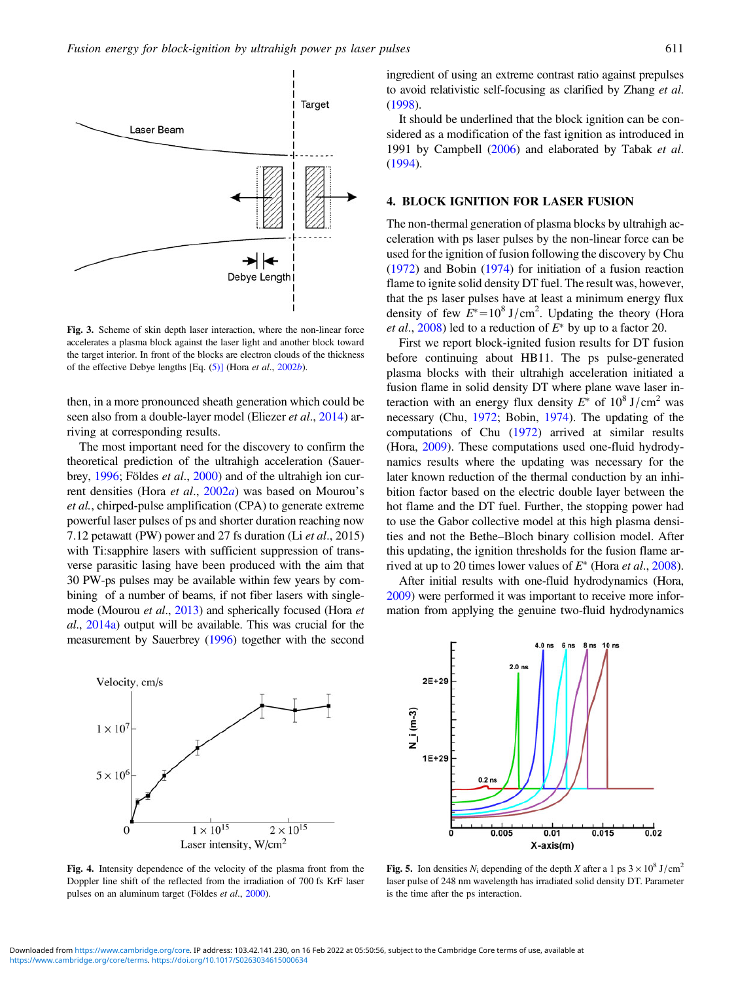<span id="page-4-0"></span>

Fig. 3. Scheme of skin depth laser interaction, where the non-linear force accelerates a plasma block against the laser light and another block toward the target interior. In front of the blocks are electron clouds of the thickness of the effective Debye lengths [Eq. [\(5\)\]](#page-3-0) (Hora et al., [2002](#page-11-0)b).

then, in a more pronounced sheath generation which could be seen also from a double-layer model (Eliezer *et al.*, [2014\)](#page-10-0) arriving at corresponding results.

The most important need for the discovery to confirm the theoretical prediction of the ultrahigh acceleration (Sauer-brey, [1996](#page-12-0); Földes et al., [2000\)](#page-10-0) and of the ultrahigh ion cur-rent densities (Hora et al., [2002](#page-10-0)a) was based on Mourou's et al., chirped-pulse amplification (CPA) to generate extreme powerful laser pulses of ps and shorter duration reaching now 7.12 petawatt (PW) power and 27 fs duration (Li et al., 2015) with Ti:sapphire lasers with sufficient suppression of transverse parasitic lasing have been produced with the aim that 30 PW-ps pulses may be available within few years by combining of a number of beams, if not fiber lasers with singlemode (Mourou *et al.*, [2013\)](#page-11-0) and spherically focused (Hora *et* al., [2014a](#page-11-0)) output will be available. This was crucial for the measurement by Sauerbrey [\(1996\)](#page-12-0) together with the second



Fig. 4. Intensity dependence of the velocity of the plasma front from the Doppler line shift of the reflected from the irradiation of 700 fs KrF laser pulses on an aluminum target (Földes et al., [2000](#page-10-0)).

ingredient of using an extreme contrast ratio against prepulses to avoid relativistic self-focusing as clarified by Zhang et al. [\(1998\)](#page-12-0).

It should be underlined that the block ignition can be considered as a modification of the fast ignition as introduced in 1991 by Campbell ([2006\)](#page-10-0) and elaborated by Tabak et al. [\(1994](#page-12-0)).

## 4. BLOCK IGNITION FOR LASER FUSION

The non-thermal generation of plasma blocks by ultrahigh acceleration with ps laser pulses by the non-linear force can be used for the ignition of fusion following the discovery by Chu [\(1972](#page-10-0)) and Bobin [\(1974](#page-10-0)) for initiation of a fusion reaction flame to ignite solid density DT fuel. The result was, however, that the ps laser pulses have at least a minimum energy flux density of few  $E^* = 10^8$  J/cm<sup>2</sup>. Updating the theory (Hora *et al.*, [2008](#page-11-0)) led to a reduction of  $E^*$  by up to a factor 20.

First we report block-ignited fusion results for DT fusion before continuing about HB11. The ps pulse-generated plasma blocks with their ultrahigh acceleration initiated a fusion flame in solid density DT where plane wave laser interaction with an energy flux density  $E^*$  of  $10^8$  J/cm<sup>2</sup> was necessary (Chu, [1972](#page-10-0); Bobin, [1974](#page-10-0)). The updating of the computations of Chu ([1972\)](#page-10-0) arrived at similar results (Hora, [2009\)](#page-10-0). These computations used one-fluid hydrodynamics results where the updating was necessary for the later known reduction of the thermal conduction by an inhibition factor based on the electric double layer between the hot flame and the DT fuel. Further, the stopping power had to use the Gabor collective model at this high plasma densities and not the Bethe–Bloch binary collision model. After this updating, the ignition thresholds for the fusion flame arrived at up to 20 times lower values of  $E^*$  (Hora *et al.*, [2008](#page-11-0)).

After initial results with one-fluid hydrodynamics (Hora, [2009\)](#page-10-0) were performed it was important to receive more information from applying the genuine two-fluid hydrodynamics



Fig. 5. Ion densities  $N_i$  depending of the depth X after a 1 ps  $3 \times 10^8$  J/cm<sup>2</sup> laser pulse of 248 nm wavelength has irradiated solid density DT. Parameter is the time after the ps interaction.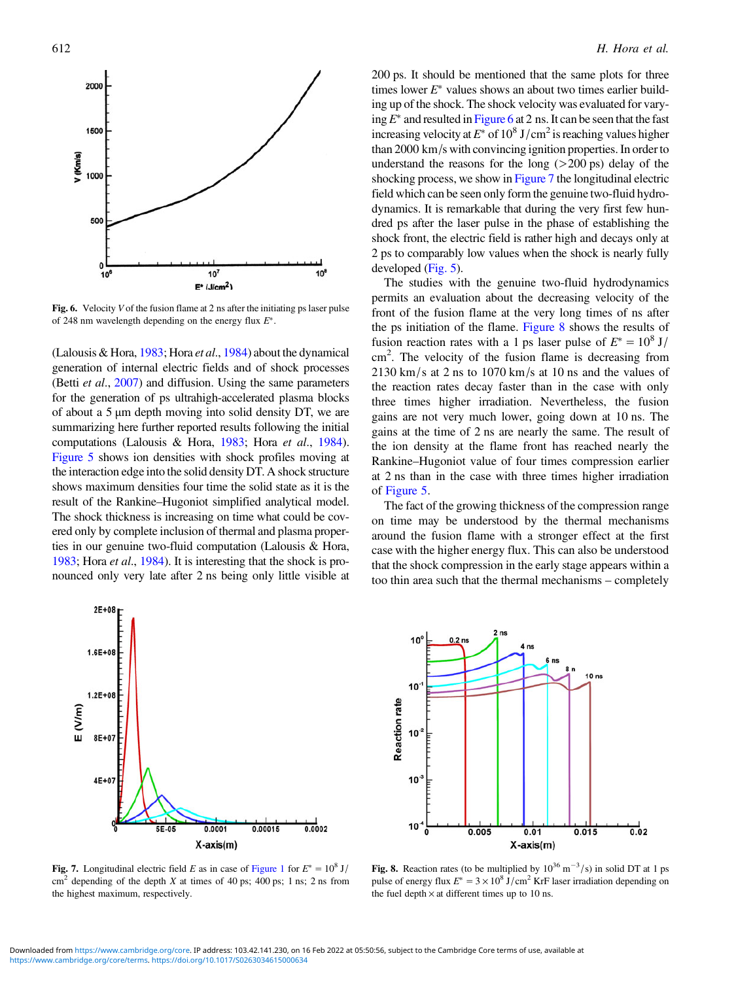

Fig. 6. Velocity V of the fusion flame at 2 ns after the initiating ps laser pulse of 248 nm wavelength depending on the energy flux  $E^*$ .

(Lalousis & Hora, [1983](#page-11-0); Hora et al., [1984\)](#page-10-0) about the dynamical generation of internal electric fields and of shock processes (Betti et al., [2007\)](#page-10-0) and diffusion. Using the same parameters for the generation of ps ultrahigh-accelerated plasma blocks of about a 5 μm depth moving into solid density DT, we are summarizing here further reported results following the initial computations (Lalousis & Hora, [1983](#page-11-0); Hora et al., [1984](#page-10-0)). [Figure 5](#page-4-0) shows ion densities with shock profiles moving at the interaction edge into the solid density DT. A shock structure shows maximum densities four time the solid state as it is the result of the Rankine–Hugoniot simplified analytical model. The shock thickness is increasing on time what could be covered only by complete inclusion of thermal and plasma properties in our genuine two-fluid computation (Lalousis & Hora, [1983;](#page-11-0) Hora et al., [1984\)](#page-10-0). It is interesting that the shock is pronounced only very late after 2 ns being only little visible at



Fig. 7. Longitudinal electric field E as in case of [Figure 1](#page-2-0) for  $E^* = 10^8$  J/  $\text{cm}^2$  depending of the depth X at times of 40 ps; 400 ps; 1 ns; 2 ns from the highest maximum, respectively.

200 ps. It should be mentioned that the same plots for three times lower  $E^*$  values shows an about two times earlier building up of the shock. The shock velocity was evaluated for varying  $E^*$  and resulted in Figure 6 at 2 ns. It can be seen that the fast increasing velocity at  $E^*$  of 10<sup>8</sup> J/cm<sup>2</sup> is reaching values higher than 2000 km/s with convincing ignition properties. In order to understand the reasons for the long  $(>200 \text{ ps})$  delay of the shocking process, we show in Figure 7 the longitudinal electric field which can be seen only form the genuine two-fluid hydrodynamics. It is remarkable that during the very first few hundred ps after the laser pulse in the phase of establishing the shock front, the electric field is rather high and decays only at 2 ps to comparably low values when the shock is nearly fully developed [\(Fig. 5](#page-4-0)).

The studies with the genuine two-fluid hydrodynamics permits an evaluation about the decreasing velocity of the front of the fusion flame at the very long times of ns after the ps initiation of the flame. Figure 8 shows the results of fusion reaction rates with a 1 ps laser pulse of  $E^* = 10^8$  J/ cm<sup>2</sup>. The velocity of the fusion flame is decreasing from 2130 km/s at 2 ns to 1070 km/s at 10 ns and the values of the reaction rates decay faster than in the case with only three times higher irradiation. Nevertheless, the fusion gains are not very much lower, going down at 10 ns. The gains at the time of 2 ns are nearly the same. The result of the ion density at the flame front has reached nearly the Rankine–Hugoniot value of four times compression earlier at 2 ns than in the case with three times higher irradiation of [Figure 5.](#page-4-0)

The fact of the growing thickness of the compression range on time may be understood by the thermal mechanisms around the fusion flame with a stronger effect at the first case with the higher energy flux. This can also be understood that the shock compression in the early stage appears within a too thin area such that the thermal mechanisms – completely



Fig. 8. Reaction rates (to be multiplied by  $10^{36}$  m<sup>-3</sup>/s) in solid DT at 1 ps pulse of energy flux  $E^* = 3 \times 10^8$  J/cm<sup>2</sup> KrF laser irradiation depending on the fuel depth  $\times$  at different times up to 10 ns.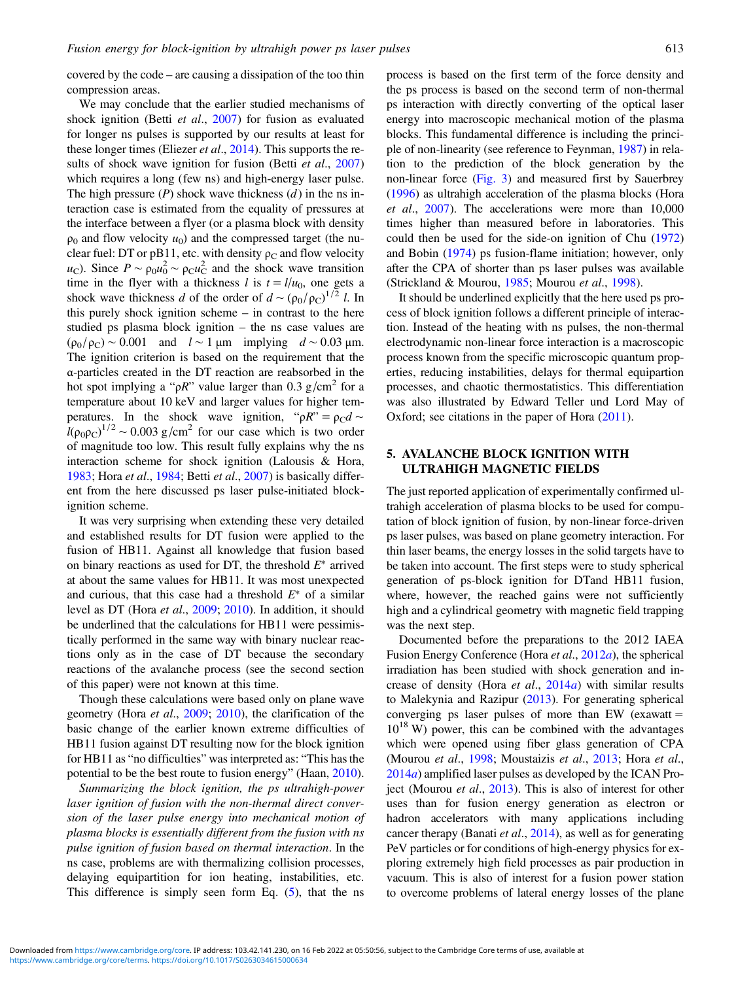covered by the code – are causing a dissipation of the too thin compression areas.

We may conclude that the earlier studied mechanisms of shock ignition (Betti et al., [2007\)](#page-10-0) for fusion as evaluated for longer ns pulses is supported by our results at least for these longer times (Eliezer *et al.*, [2014](#page-10-0)). This supports the re-sults of shock wave ignition for fusion (Betti et al., [2007\)](#page-10-0) which requires a long (few ns) and high-energy laser pulse. The high pressure  $(P)$  shock wave thickness  $(d)$  in the ns interaction case is estimated from the equality of pressures at the interface between a flyer (or a plasma block with density  $\rho_0$  and flow velocity  $u_0$ ) and the compressed target (the nuclear fuel: DT or pB11, etc. with density  $\rho_C$  and flow velocity *u*<sub>C</sub>). Since  $P \sim \rho_0 u_0^2 \sim \rho_C u_C^2$  and the shock wave transition time in the flyer with a thickness l is  $t = l/u_0$ , one gets a shock wave thickness d of the order of  $d \sim (\rho_0/\rho_C)^{1/2} l$ . In this purely shock ignition scheme – in contrast to the here studied ps plasma block ignition – the ns case values are  $(\rho_0/\rho_C) \sim 0.001$  and  $l \sim 1 \mu m$  implying  $d \sim 0.03 \mu m$ . The ignition criterion is based on the requirement that the α-particles created in the DT reaction are reabsorbed in the hot spot implying a " $\rho R$ " value larger than 0.3 g/cm<sup>2</sup> for a temperature about 10 keV and larger values for higher temperatures. In the shock wave ignition, " $\rho R$ " =  $\rho_C d \sim$  $\frac{1}{\ell(\rho_0 \rho_C)}$ <sup>1/2</sup> ~ 0.003 g/cm<sup>2</sup> for our case which is two order of magnitude too low. This result fully explains why the ns interaction scheme for shock ignition (Lalousis & Hora, [1983](#page-11-0); Hora et al., [1984;](#page-10-0) Betti et al., [2007\)](#page-10-0) is basically different from the here discussed ps laser pulse-initiated blockignition scheme.

It was very surprising when extending these very detailed and established results for DT fusion were applied to the fusion of HB11. Against all knowledge that fusion based on binary reactions as used for DT, the threshold  $E^*$  arrived at about the same values for HB11. It was most unexpected and curious, that this case had a threshold  $E^*$  of a similar level as DT (Hora et al., [2009](#page-11-0); [2010\)](#page-11-0). In addition, it should be underlined that the calculations for HB11 were pessimistically performed in the same way with binary nuclear reactions only as in the case of DT because the secondary reactions of the avalanche process (see the second section of this paper) were not known at this time.

Though these calculations were based only on plane wave geometry (Hora et al., [2009](#page-11-0); [2010](#page-11-0)), the clarification of the basic change of the earlier known extreme difficulties of HB11 fusion against DT resulting now for the block ignition for HB11 as "no difficulties" was interpreted as: "This has the potential to be the best route to fusion energy" (Haan, [2010](#page-10-0)).

Summarizing the block ignition, the ps ultrahigh-power laser ignition of fusion with the non-thermal direct conversion of the laser pulse energy into mechanical motion of plasma blocks is essentially different from the fusion with ns pulse ignition of fusion based on thermal interaction. In the ns case, problems are with thermalizing collision processes, delaying equipartition for ion heating, instabilities, etc. This difference is simply seen form Eq.  $(5)$  $(5)$ , that the ns

process is based on the first term of the force density and the ps process is based on the second term of non-thermal ps interaction with directly converting of the optical laser energy into macroscopic mechanical motion of the plasma blocks. This fundamental difference is including the principle of non-linearity (see reference to Feynman, [1987\)](#page-10-0) in relation to the prediction of the block generation by the non-linear force ([Fig. 3\)](#page-4-0) and measured first by Sauerbrey [\(1996](#page-12-0)) as ultrahigh acceleration of the plasma blocks (Hora et al., [2007](#page-10-0)). The accelerations were more than 10,000 times higher than measured before in laboratories. This could then be used for the side-on ignition of Chu ([1972\)](#page-10-0) and Bobin ([1974\)](#page-10-0) ps fusion-flame initiation; however, only after the CPA of shorter than ps laser pulses was available (Strickland & Mourou, [1985](#page-12-0); Mourou et al., [1998](#page-11-0)).

It should be underlined explicitly that the here used ps process of block ignition follows a different principle of interaction. Instead of the heating with ns pulses, the non-thermal electrodynamic non-linear force interaction is a macroscopic process known from the specific microscopic quantum properties, reducing instabilities, delays for thermal equipartion processes, and chaotic thermostatistics. This differentiation was also illustrated by Edward Teller und Lord May of Oxford; see citations in the paper of Hora ([2011\)](#page-10-0).

#### 5. AVALANCHE BLOCK IGNITION WITH ULTRAHIGH MAGNETIC FIELDS

The just reported application of experimentally confirmed ultrahigh acceleration of plasma blocks to be used for computation of block ignition of fusion, by non-linear force-driven ps laser pulses, was based on plane geometry interaction. For thin laser beams, the energy losses in the solid targets have to be taken into account. The first steps were to study spherical generation of ps-block ignition for DTand HB11 fusion, where, however, the reached gains were not sufficiently high and a cylindrical geometry with magnetic field trapping was the next step.

Documented before the preparations to the 2012 IAEA Fusion Energy Conference (Hora et al., [2012](#page-11-0)a), the spherical irradiation has been studied with shock generation and increase of density (Hora et al., [2014](#page-11-0)a) with similar results to Malekynia and Razipur [\(2013](#page-11-0)). For generating spherical converging ps laser pulses of more than EW (exawatt  $=$  $10^{18}$  W) power, this can be combined with the advantages which were opened using fiber glass generation of CPA (Mourou et al., [1998](#page-11-0); Moustaizis et al., [2013;](#page-11-0) Hora et al., [2014](#page-11-0)a) amplified laser pulses as developed by the ICAN Pro-ject (Mourou et al., [2013\)](#page-11-0). This is also of interest for other uses than for fusion energy generation as electron or hadron accelerators with many applications including cancer therapy (Banati et al., [2014](#page-10-0)), as well as for generating PeV particles or for conditions of high-energy physics for exploring extremely high field processes as pair production in vacuum. This is also of interest for a fusion power station to overcome problems of lateral energy losses of the plane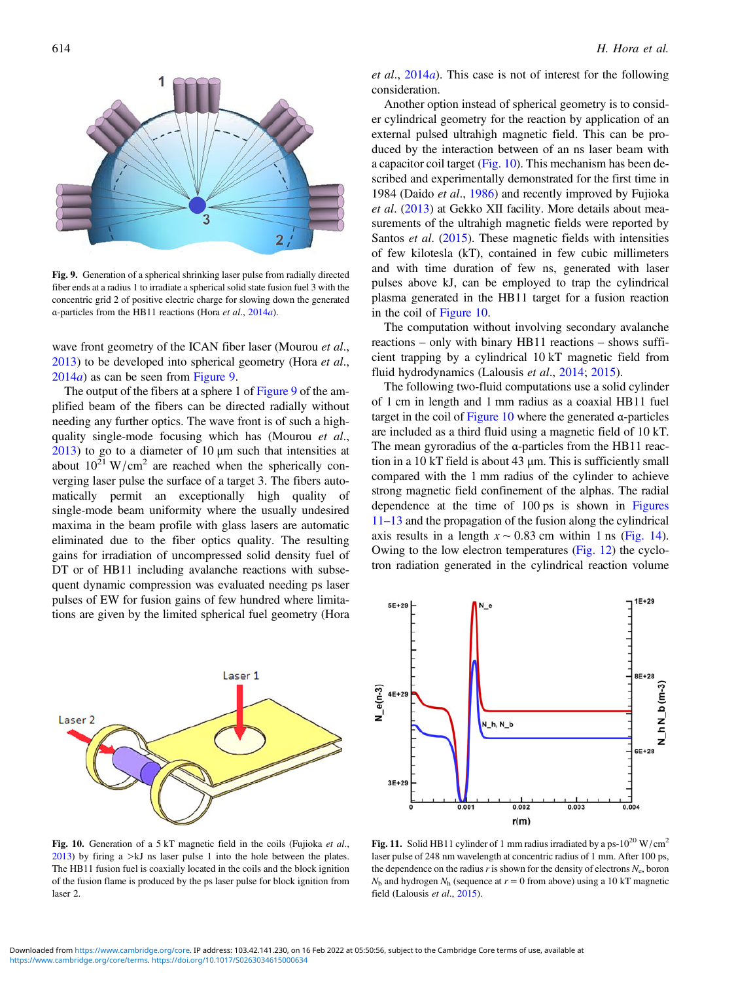<span id="page-7-0"></span>

Fig. 9. Generation of a spherical shrinking laser pulse from radially directed fiber ends at a radius 1 to irradiate a spherical solid state fusion fuel 3 with the concentric grid 2 of positive electric charge for slowing down the generated α-particles from the HB11 reactions (Hora et al., [2014](#page-11-0)a).

wave front geometry of the ICAN fiber laser (Mourou et al., [2013](#page-11-0)) to be developed into spherical geometry (Hora et al.,  $2014a$  $2014a$ ) as can be seen from Figure 9.

The output of the fibers at a sphere 1 of Figure 9 of the amplified beam of the fibers can be directed radially without needing any further optics. The wave front is of such a highquality single-mode focusing which has (Mourou et al., [2013](#page-11-0)) to go to a diameter of 10  $\mu$ m such that intensities at about  $10^{21}$  W/cm<sup>2</sup> are reached when the spherically converging laser pulse the surface of a target 3. The fibers automatically permit an exceptionally high quality of single-mode beam uniformity where the usually undesired maxima in the beam profile with glass lasers are automatic eliminated due to the fiber optics quality. The resulting gains for irradiation of uncompressed solid density fuel of DT or of HB11 including avalanche reactions with subsequent dynamic compression was evaluated needing ps laser pulses of EW for fusion gains of few hundred where limitations are given by the limited spherical fuel geometry (Hora



et al.,  $2014a$  $2014a$ ). This case is not of interest for the following consideration.

Another option instead of spherical geometry is to consider cylindrical geometry for the reaction by application of an external pulsed ultrahigh magnetic field. This can be produced by the interaction between of an ns laser beam with a capacitor coil target (Fig. 10). This mechanism has been described and experimentally demonstrated for the first time in 1984 (Daido et al., [1986\)](#page-10-0) and recently improved by Fujioka et al. ([2013\)](#page-10-0) at Gekko XII facility. More details about measurements of the ultrahigh magnetic fields were reported by Santos et al. [\(2015](#page-12-0)). These magnetic fields with intensities of few kilotesla (kT), contained in few cubic millimeters and with time duration of few ns, generated with laser pulses above kJ, can be employed to trap the cylindrical plasma generated in the HB11 target for a fusion reaction in the coil of Figure 10.

The computation without involving secondary avalanche reactions – only with binary HB11 reactions – shows sufficient trapping by a cylindrical 10 kT magnetic field from fluid hydrodynamics (Lalousis et al., [2014](#page-11-0); [2015](#page-11-0)).

The following two-fluid computations use a solid cylinder of 1 cm in length and 1 mm radius as a coaxial HB11 fuel target in the coil of  $Figure 10$  where the generated  $\alpha$ -particles are included as a third fluid using a magnetic field of 10 kT. The mean gyroradius of the α-particles from the HB11 reaction in a 10 kT field is about 43 μm. This is sufficiently small compared with the 1 mm radius of the cylinder to achieve strong magnetic field confinement of the alphas. The radial dependence at the time of 100 ps is shown in Figures 11–13 and the propagation of the fusion along the cylindrical axis results in a length  $x \sim 0.83$  cm within 1 ns [\(Fig. 14](#page-8-0)). Owing to the low electron temperatures ([Fig. 12\)](#page-8-0) the cyclotron radiation generated in the cylindrical reaction volume



Fig. 10. Generation of a 5 kT magnetic field in the coils (Fujioka et al.,  $2013$ ) by firing a  $> kJ$  ns laser pulse 1 into the hole between the plates. The HB11 fusion fuel is coaxially located in the coils and the block ignition of the fusion flame is produced by the ps laser pulse for block ignition from laser 2.

Fig. 11. Solid HB11 cylinder of 1 mm radius irradiated by a ps- $10^{20}$  W/cm<sup>2</sup> laser pulse of 248 nm wavelength at concentric radius of 1 mm. After 100 ps, the dependence on the radius r is shown for the density of electrons  $N_e$ , boron  $N<sub>b</sub>$  and hydrogen  $N<sub>h</sub>$  (sequence at  $r = 0$  from above) using a 10 kT magnetic field (Lalousis et al., [2015](#page-11-0)).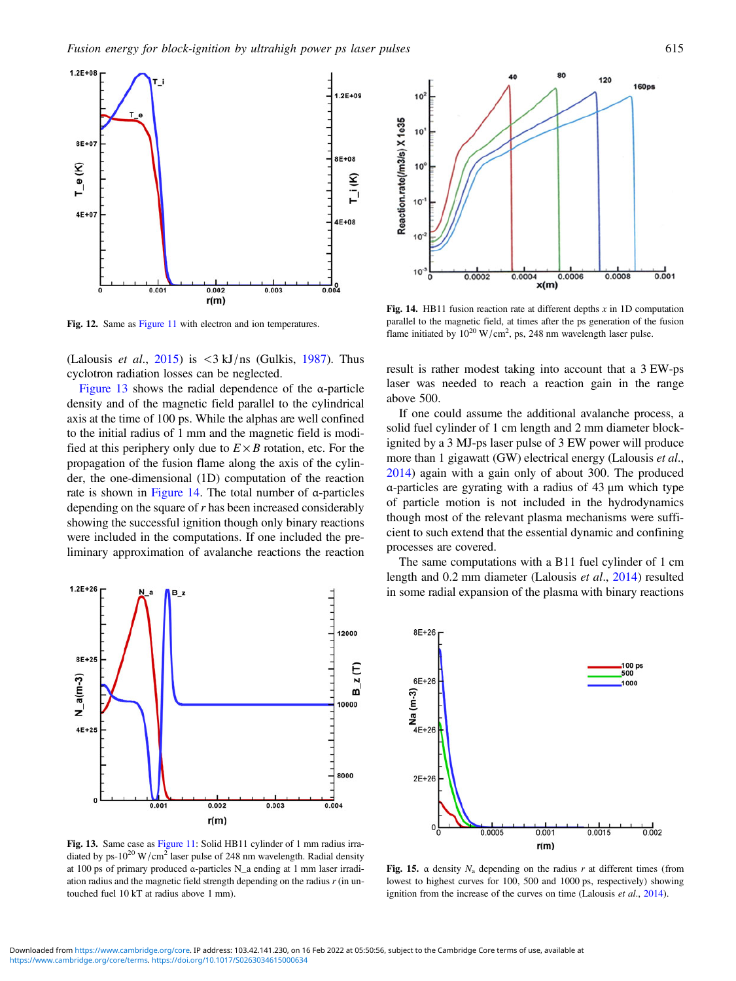<span id="page-8-0"></span>

Fig. 12. Same as [Figure 11](#page-7-0) with electron and ion temperatures.

(Lalousis *et al.*, [2015\)](#page-11-0) is  $\langle 3 \text{ kJ/ns} \rangle$  (Gulkis, [1987\)](#page-10-0). Thus cyclotron radiation losses can be neglected.

Figure 13 shows the radial dependence of the α-particle density and of the magnetic field parallel to the cylindrical axis at the time of 100 ps. While the alphas are well confined to the initial radius of 1 mm and the magnetic field is modified at this periphery only due to  $E \times B$  rotation, etc. For the propagation of the fusion flame along the axis of the cylinder, the one-dimensional (1D) computation of the reaction rate is shown in Figure 14. The total number of α-particles depending on the square of r has been increased considerably showing the successful ignition though only binary reactions were included in the computations. If one included the preliminary approximation of avalanche reactions the reaction



Fig. 13. Same case as [Figure 11:](#page-7-0) Solid HB11 cylinder of 1 mm radius irradiated by ps-10<sup>20</sup> W/cm<sup>2</sup> laser pulse of 248 nm wavelength. Radial density at 100 ps of primary produced α-particles N\_a ending at 1 mm laser irradiation radius and the magnetic field strength depending on the radius r (in untouched fuel 10 kT at radius above 1 mm).



Fig. 14. HB11 fusion reaction rate at different depths  $x$  in 1D computation parallel to the magnetic field, at times after the ps generation of the fusion flame initiated by  $10^{20}$  W/cm<sup>2</sup>, ps, 248 nm wavelength laser pulse.

result is rather modest taking into account that a 3 EW-ps laser was needed to reach a reaction gain in the range above 500.

If one could assume the additional avalanche process, a solid fuel cylinder of 1 cm length and 2 mm diameter blockignited by a 3 MJ-ps laser pulse of 3 EW power will produce more than 1 gigawatt (GW) electrical energy (Lalousis *et al.*, [2014\)](#page-11-0) again with a gain only of about 300. The produced α-particles are gyrating with a radius of 43 μm which type of particle motion is not included in the hydrodynamics though most of the relevant plasma mechanisms were sufficient to such extend that the essential dynamic and confining processes are covered.

The same computations with a B11 fuel cylinder of 1 cm length and 0.2 mm diameter (Lalousis et al., [2014\)](#page-11-0) resulted in some radial expansion of the plasma with binary reactions



Fig. 15.  $\alpha$  density  $N_a$  depending on the radius r at different times (from lowest to highest curves for 100, 500 and 1000 ps, respectively) showing ignition from the increase of the curves on time (Lalousis et al., [2014](#page-11-0)).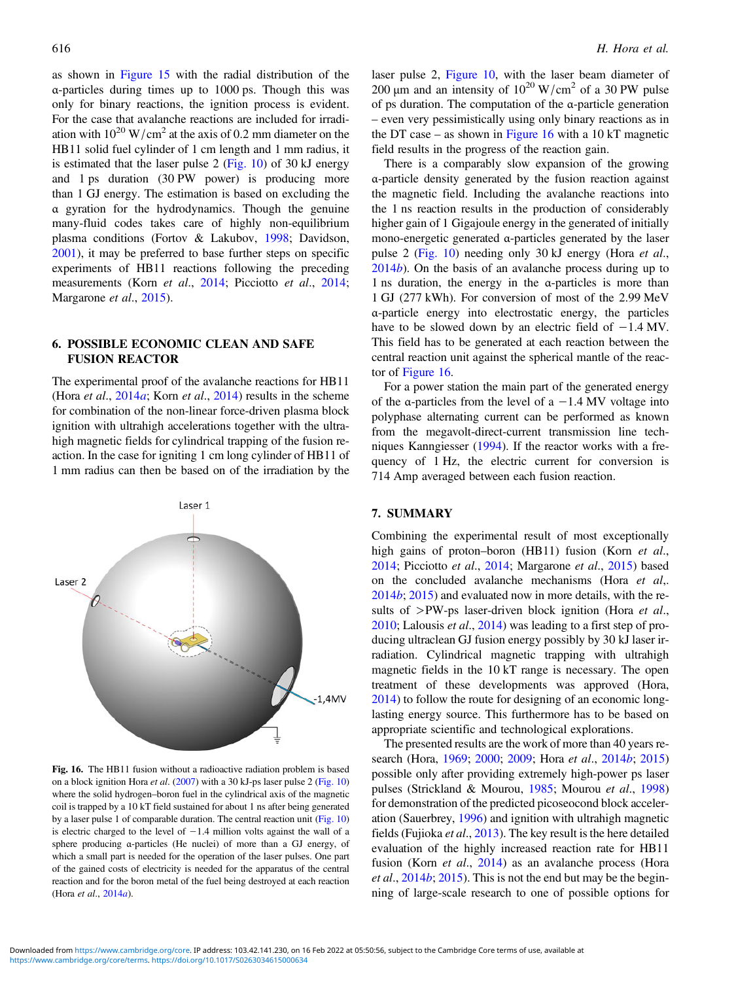as shown in [Figure 15](#page-8-0) with the radial distribution of the α-particles during times up to 1000 ps. Though this was only for binary reactions, the ignition process is evident. For the case that avalanche reactions are included for irradiation with  $10^{20}$  W/cm<sup>2</sup> at the axis of 0.2 mm diameter on the HB11 solid fuel cylinder of 1 cm length and 1 mm radius, it is estimated that the laser pulse 2 [\(Fig. 10](#page-7-0)) of 30 kJ energy and 1 ps duration (30 PW power) is producing more than 1 GJ energy. The estimation is based on excluding the α gyration for the hydrodynamics. Though the genuine many-fluid codes takes care of highly non-equilibrium plasma conditions (Fortov & Lakubov, [1998](#page-10-0); Davidson, [2001](#page-10-0)), it may be preferred to base further steps on specific experiments of HB11 reactions following the preceding measurements (Korn et al., [2014;](#page-11-0) Picciotto et al., [2014](#page-12-0); Margarone et al., [2015](#page-11-0)).

# 6. POSSIBLE ECONOMIC CLEAN AND SAFE FUSION REACTOR

The experimental proof of the avalanche reactions for HB11 (Hora et al.,  $2014a$  $2014a$ ; Korn et al., 2014) results in the scheme for combination of the non-linear force-driven plasma block ignition with ultrahigh accelerations together with the ultrahigh magnetic fields for cylindrical trapping of the fusion reaction. In the case for igniting 1 cm long cylinder of HB11 of 1 mm radius can then be based on of the irradiation by the



Fig. 16. The HB11 fusion without a radioactive radiation problem is based on a block ignition Hora *et al.* ([2007\)](#page-10-0) with a 30 kJ-ps laser pulse 2 ([Fig. 10](#page-7-0)) where the solid hydrogen–boron fuel in the cylindrical axis of the magnetic coil is trapped by a 10 kT field sustained for about 1 ns after being generated by a laser pulse 1 of comparable duration. The central reaction unit ([Fig. 10](#page-7-0)) is electric charged to the level of −1.4 million volts against the wall of a sphere producing α-particles (He nuclei) of more than a GJ energy, of which a small part is needed for the operation of the laser pulses. One part of the gained costs of electricity is needed for the apparatus of the central reaction and for the boron metal of the fuel being destroyed at each reaction (Hora et al., [2014](#page-11-0)a).

laser pulse 2, [Figure 10,](#page-7-0) with the laser beam diameter of 200 μm and an intensity of  $10^{20}$  W/cm<sup>2</sup> of a 30 PW pulse of ps duration. The computation of the α-particle generation – even very pessimistically using only binary reactions as in the DT case – as shown in Figure 16 with a 10 kT magnetic field results in the progress of the reaction gain.

There is a comparably slow expansion of the growing α-particle density generated by the fusion reaction against the magnetic field. Including the avalanche reactions into the 1 ns reaction results in the production of considerably higher gain of 1 Gigajoule energy in the generated of initially mono-energetic generated α-particles generated by the laser pulse 2 [\(Fig. 10](#page-7-0)) needing only 30 kJ energy (Hora et al., [2014](#page-10-0)b). On the basis of an avalanche process during up to 1 ns duration, the energy in the α-particles is more than 1 GJ (277 kWh). For conversion of most of the 2.99 MeV α-particle energy into electrostatic energy, the particles have to be slowed down by an electric field of −1.4 MV. This field has to be generated at each reaction between the central reaction unit against the spherical mantle of the reactor of Figure 16.

For a power station the main part of the generated energy of the  $\alpha$ -particles from the level of  $\alpha$  –1.4 MV voltage into polyphase alternating current can be performed as known from the megavolt-direct-current transmission line techniques Kanngiesser ([1994](#page-11-0)). If the reactor works with a frequency of 1 Hz, the electric current for conversion is 714 Amp averaged between each fusion reaction.

#### 7. SUMMARY

Combining the experimental result of most exceptionally high gains of proton–boron (HB11) fusion (Korn et al., [2014](#page-11-0); Picciotto et al., [2014](#page-12-0); Margarone et al., [2015\)](#page-11-0) based on the concluded avalanche mechanisms (Hora et al,. [2014](#page-10-0)b; [2015](#page-11-0)) and evaluated now in more details, with the results of  $>$ PW-ps laser-driven block ignition (Hora *et al.*, [2010](#page-11-0); Lalousis et al., [2014\)](#page-11-0) was leading to a first step of producing ultraclean GJ fusion energy possibly by 30 kJ laser irradiation. Cylindrical magnetic trapping with ultrahigh magnetic fields in the 10 kT range is necessary. The open treatment of these developments was approved (Hora, [2014](#page-10-0)) to follow the route for designing of an economic longlasting energy source. This furthermore has to be based on appropriate scientific and technological explorations.

The presented results are the work of more than 40 years research (Hora, [1969](#page-10-0); [2000](#page-10-0); [2009;](#page-10-0) Hora et al., [2014](#page-10-0)b; [2015\)](#page-11-0) possible only after providing extremely high-power ps laser pulses (Strickland & Mourou, [1985;](#page-12-0) Mourou et al., [1998\)](#page-11-0) for demonstration of the predicted picoseocond block acceleration (Sauerbrey, [1996\)](#page-12-0) and ignition with ultrahigh magnetic fields (Fujioka et al., [2013\)](#page-10-0). The key result is the here detailed evaluation of the highly increased reaction rate for HB11 fusion (Korn et al., [2014\)](#page-11-0) as an avalanche process (Hora *et al.*,  $2014b$  $2014b$ ;  $2015$ ). This is not the end but may be the beginning of large-scale research to one of possible options for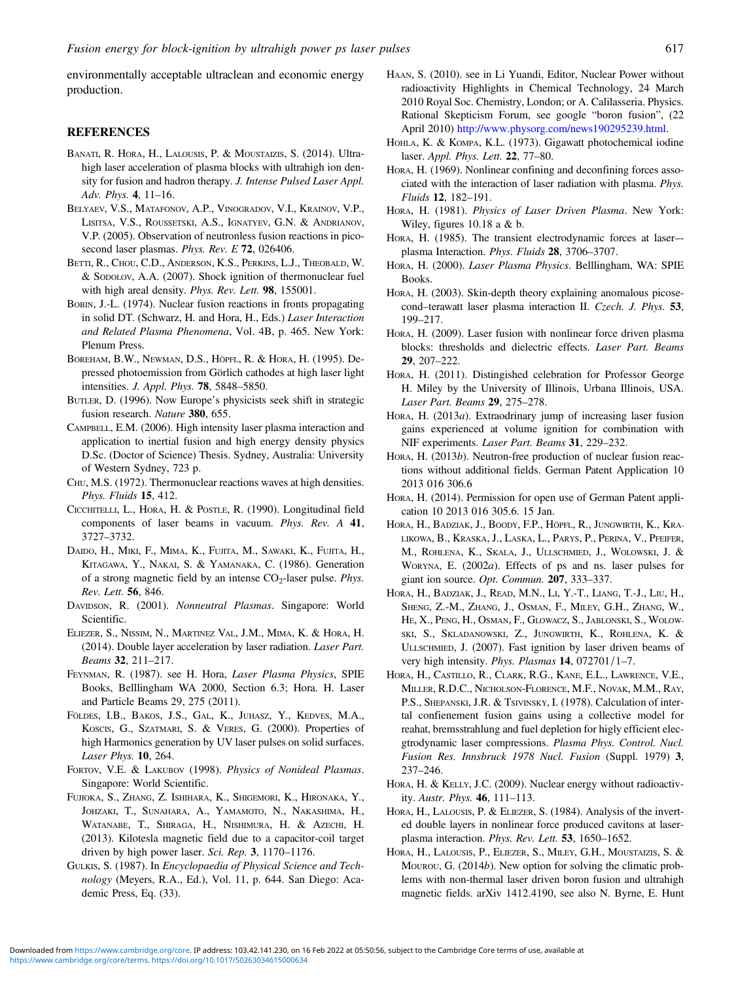<span id="page-10-0"></span>environmentally acceptable ultraclean and economic energy production.

#### **REFERENCES**

- BANATI, R. HORA, H., LALOUSIS, P. & MOUSTAIZIS, S. (2014). Ultrahigh laser acceleration of plasma blocks with ultrahigh ion density for fusion and hadron therapy. J. Intense Pulsed Laser Appl. Adv. Phys. 4, 11–16.
- BELYAEV, V.S., MATAFONOV, A.P., VINOGRADOV, V.I., KRAINOV, V.P., LISITSA, V.S., ROUSSETSKI, A.S., IGNATYEV, G.N. & ANDRIANOV, V.P. (2005). Observation of neutronless fusion reactions in picosecond laser plasmas. Phys. Rev. E 72, 026406.
- BETTI, R., CHOU, C.D., ANDERSON, K.S., PERKINS, L.J., THEOBALD, W. & SODOLOV, A.A. (2007). Shock ignition of thermonuclear fuel with high areal density. Phys. Rev. Lett. 98, 155001.
- BOBIN, J.-L. (1974). Nuclear fusion reactions in fronts propagating in solid DT. (Schwarz, H. and Hora, H., Eds.) Laser Interaction and Related Plasma Phenomena, Vol. 4B, p. 465. New York: Plenum Press.
- BOREHAM, B.W., NEWMAN, D.S., HÖPFL, R. & HORA, H. (1995). Depressed photoemission from Görlich cathodes at high laser light intensities. J. Appl. Phys. 78, 5848–5850.
- BUTLER, D. (1996). Now Europe's physicists seek shift in strategic fusion research. Nature 380, 655.
- CAMPBELL, E.M. (2006). High intensity laser plasma interaction and application to inertial fusion and high energy density physics D.Sc. (Doctor of Science) Thesis. Sydney, Australia: University of Western Sydney, 723 p.
- CHU, M.S. (1972). Thermonuclear reactions waves at high densities. Phys. Fluids 15, 412.
- CICCHITELLI, L., HORA, H. & POSTLE, R. (1990). Longitudinal field components of laser beams in vacuum. Phys. Rev. A 41, 3727–3732.
- DAIDO, H., MIKI, F., MIMA, K., FUJITA, M., SAWAKI, K., FUJITA, H., KITAGAWA, Y., NAKAI, S. & YAMANAKA, C. (1986). Generation of a strong magnetic field by an intense  $CO<sub>2</sub>$ -laser pulse. Phys. Rev. Lett. 56, 846.
- DAVIDSON, R. (2001). Nonneutral Plasmas. Singapore: World Scientific.
- ELIEZER, S., NISSIM, N., MARTINEZ VAL, J.M., MIMA, K. & HORA, H. (2014). Double layer acceleration by laser radiation. Laser Part. Beams 32, 211–217.
- FEYNMAN, R. (1987). see H. Hora, Laser Plasma Physics, SPIE Books, Belllingham WA 2000, Section 6.3; Hora. H. Laser and Particle Beams 29, 275 (2011).
- FÖLDES, I.B., BAKOS, J.S., GAL, K., JUHASZ, Y., KEDVES, M.A., KOSCIS, G., SZATMARI, S. & VERES, G. (2000). Properties of high Harmonics generation by UV laser pulses on solid surfaces. Laser Phys. 10, 264.
- FORTOV, V.E. & LAKUBOV (1998). Physics of Nonideal Plasmas. Singapore: World Scientific.
- FUJIOKA, S., ZHANG, Z. ISHIHARA, K., SHIGEMORI, K., HIRONAKA, Y., JOHZAKI, T., SUNAHARA, A., YAMAMOTO, N., NAKASHIMA, H., WATANABE, T., SHIRAGA, H., NISHIMURA, H. & AZECHI, H. (2013). Kilotesla magnetic field due to a capacitor-coil target driven by high power laser. Sci. Rep. 3, 1170–1176.
- GULKIS, S. (1987). In Encyclopaedia of Physical Science and Technology (Meyers, R.A., Ed.), Vol. 11, p. 644. San Diego: Academic Press, Eq. (33).
- HAAN, S. (2010). see in Li Yuandi, Editor, Nuclear Power without radioactivity Highlights in Chemical Technology, 24 March 2010 Royal Soc. Chemistry, London; or A. Calilasseria. Physics. Rational Skepticism Forum, see google "boron fusion", (22 April 2010) [http://www.physorg.com/news190295239.html.](mailto:niall@sciencepublic.com.au)
- HOHLA, K. & KOMPA, K.L. (1973). Gigawatt photochemical iodine laser. Appl. Phys. Lett. 22, 77–80.
- HORA, H. (1969). Nonlinear confining and deconfining forces associated with the interaction of laser radiation with plasma. Phys. Fluids 12, 182–191.
- HORA, H. (1981). Physics of Laser Driven Plasma. New York: Wiley, figures 10.18 a & b.
- HORA, H. (1985). The transient electrodynamic forces at laser– plasma Interaction. Phys. Fluids 28, 3706–3707.
- HORA, H. (2000). Laser Plasma Physics. Belllingham, WA: SPIE Books.
- HORA, H. (2003). Skin-depth theory explaining anomalous picosecond–terawatt laser plasma interaction II. Czech. J. Phys. 53, 199–217.
- HORA, H. (2009). Laser fusion with nonlinear force driven plasma blocks: thresholds and dielectric effects. Laser Part. Beams 29, 207–222.
- HORA, H. (2011). Distingished celebration for Professor George H. Miley by the University of Illinois, Urbana Illinois, USA. Laser Part. Beams 29, 275–278.
- HORA, H. (2013a). Extraodrinary jump of increasing laser fusion gains experienced at volume ignition for combination with NIF experiments. Laser Part. Beams 31, 229–232.
- HORA, H. (2013b). Neutron-free production of nuclear fusion reactions without additional fields. German Patent Application 10 2013 016 306.6
- HORA, H. (2014). Permission for open use of German Patent application 10 2013 016 305.6. 15 Jan.
- HORA, H., BADZIAK, J., BOODY, F.P., HÖPFL, R., JUNGWIRTH, K., KRA-LIKOWA, B., KRASKA, J., LASKA, L., PARYS, P., PERINA, V., PFEIFER, M., ROHLENA, K., SKALA, J., ULLSCHMIED, J., WOLOWSKI, J. & WORYNA, E.  $(2002a)$ . Effects of ps and ns. laser pulses for giant ion source. Opt. Commun. 207, 333–337.
- HORA, H., BADZIAK, J., READ, M.N., LI, Y.-T., LIANG, T.-J., LIU, H., SHENG, Z.-M., ZHANG, J., OSMAN, F., MILEY, G.H., ZHANG, W., HE, X., PENG, H., OSMAN, F., GLOWACZ, S., JABLONSKI, S., WOLOW-SKI, S., SKLADANOWSKI, Z., JUNGWIRTH, K., ROHLENA, K. & ULLSCHMIED, J. (2007). Fast ignition by laser driven beams of very high intensity. Phys. Plasmas 14, 072701/1-7.
- HORA, H., CASTILLO, R., CLARK, R.G., KANE, E.L., LAWRENCE, V.E., MILLER, R.D.C., NICHOLSON-FLORENCE, M.F., NOVAK, M.M., RAY, P.S., SHEPANSKI, J.R. & TSIVINSKY, I. (1978). Calculation of intertal confienement fusion gains using a collective model for reahat, bremsstrahlung and fuel depletion for higly efficient elecgtrodynamic laser compressions. Plasma Phys. Control. Nucl. Fusion Res. Innsbruck 1978 Nucl. Fusion (Suppl. 1979) 3, 237–246.
- HORA, H. & KELLY, J.C. (2009). Nuclear energy without radioactivity. Austr. Phys. 46, 111–113.
- HORA, H., LALOUSIS, P. & ELIEZER, S. (1984). Analysis of the inverted double layers in nonlinear force produced cavitons at laserplasma interaction. Phys. Rev. Lett. 53, 1650–1652.
- HORA, H., LALOUSIS, P., ELIEZER, S., MILEY, G.H., MOUSTAIZIS, S. & Mourou, G. (2014b). New option for solving the climatic problems with non-thermal laser driven boron fusion and ultrahigh magnetic fields. arXiv 1412.4190, see also N. Byrne, E. Hunt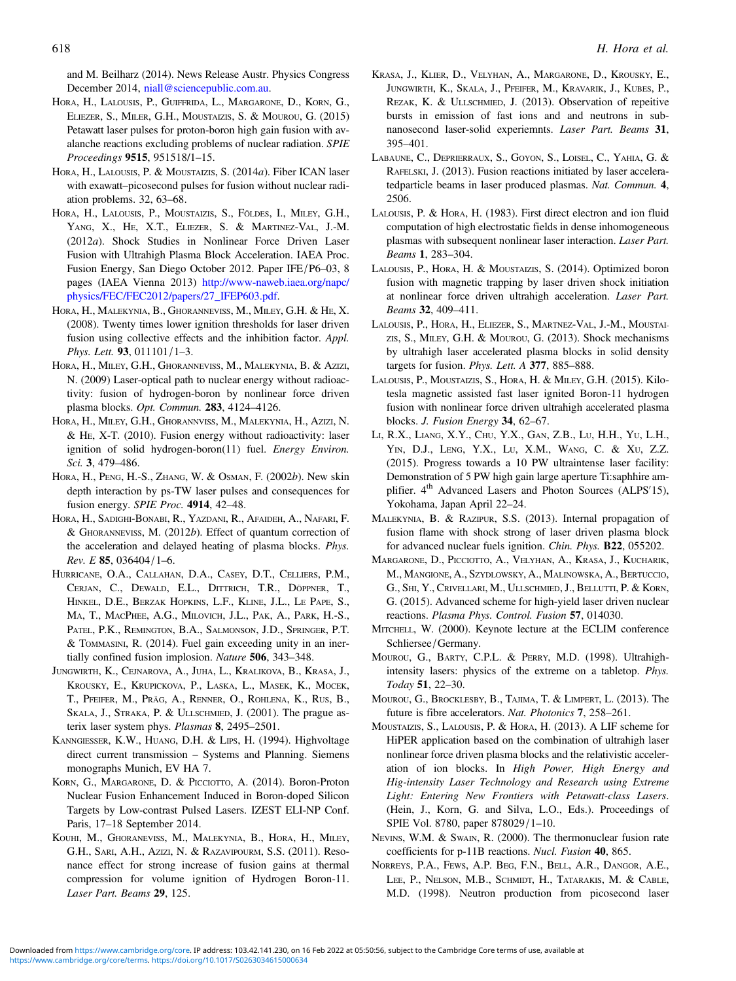<span id="page-11-0"></span>and M. Beilharz (2014). News Release Austr. Physics Congress December 2014, [niall@sciencepublic.com.au.](mailto:niall@sciencepublic.com.au)

- HORA, H., LALOUSIS, P., GUIFFRIDA, L., MARGARONE, D., KORN, G., ELIEZER, S., MILER, G.H., MOUSTAIZIS, S. & MOUROU, G. (2015) Petawatt laser pulses for proton-boron high gain fusion with avalanche reactions excluding problems of nuclear radiation. SPIE Proceedings 9515, 951518/1–15.
- HORA, H., LALOUSIS, P. & MOUSTAIZIS, S. (2014a). Fiber ICAN laser with exawatt–picosecond pulses for fusion without nuclear radiation problems. 32, 63–68.
- HORA, H., LALOUSIS, P., MOUSTAIZIS, S., FÖLDES, I., MILEY, G.H., YANG, X., HE, X.T., ELIEZER, S. & MARTINEZ-VAL, J.-M. (2012a). Shock Studies in Nonlinear Force Driven Laser Fusion with Ultrahigh Plasma Block Acceleration. IAEA Proc. Fusion Energy, San Diego October 2012. Paper IFE/P6–03, 8 pages (IAEA Vienna 2013) [http://www-naweb.iaea.org/napc/](http://www-naweb.iaea.org/napc/physics/FEC/FEC2012/papers/27_IFEP603.pdf) [physics/FEC/FEC2012/papers/27\\_IFEP603.pdf.](http://www-naweb.iaea.org/napc/physics/FEC/FEC2012/papers/27_IFEP603.pdf)
- HORA, H., MALEKYNIA, B., GHORANNEVISS, M., MILEY, G.H. & HE, X. (2008). Twenty times lower ignition thresholds for laser driven fusion using collective effects and the inhibition factor. Appl. Phys. Lett. 93, 011101/1–3.
- HORA, H., MILEY, G.H., GHORANNEVISS, M., MALEKYNIA, B. & AZIZI, N. (2009) Laser-optical path to nuclear energy without radioactivity: fusion of hydrogen-boron by nonlinear force driven plasma blocks. Opt. Commun. 283, 4124–4126.
- HORA, H., MILEY, G.H., GHORANNVISS, M., MALEKYNIA, H., AZIZI, N. & HE, X-T. (2010). Fusion energy without radioactivity: laser ignition of solid hydrogen-boron(11) fuel. Energy Environ. Sci. 3, 479–486.
- HORA, H., PENG, H.-S., ZHANG, W. & OSMAN, F. (2002b). New skin depth interaction by ps-TW laser pulses and consequences for fusion energy. SPIE Proc. 4914, 42–48.
- HORA, H., SADIGHI-BONABI, R., YAZDANI, R., AFAIDEH, A., NAFARI, F. & GHORANNEVISS, M. (2012b). Effect of quantum correction of the acceleration and delayed heating of plasma blocks. Phys. Rev. E 85, 036404/1–6.
- HURRICANE, O.A., CALLAHAN, D.A., CASEY, D.T., CELLIERS, P.M., CERJAN, C., DEWALD, E.L., DITTRICH, T.R., DÖPPNER, T., HINKEL, D.E., BERZAK HOPKINS, L.F., KLINE, J.L., LE PAPE, S., MA, T., MACPHEE, A.G., MILOVICH, J.L., PAK, A., PARK, H.-S., PATEL, P.K., REMINGTON, B.A., SALMONSON, J.D., SPRINGER, P.T. & TOMMASINI, R. (2014). Fuel gain exceeding unity in an inertially confined fusion implosion. Nature 506, 343–348.
- JUNGWIRTH, K., CEJNAROVA, A., JUHA, L., KRALIKOVA, B., KRASA, J., KROUSKY, E., KRUPICKOVA, P., LASKA, L., MASEK, K., MOCEK, T., PFEIFER, M., PRÄG, A., RENNER, O., ROHLENA, K., RUS, B., SKALA, J., STRAKA, P. & ULLSCHMIED, J. (2001). The prague asterix laser system phys. Plasmas 8, 2495–2501.
- KANNGIESSER, K.W., HUANG, D.H. & LIPS, H. (1994). Highvoltage direct current transmission – Systems and Planning. Siemens monographs Munich, EV HA 7.
- KORN, G., MARGARONE, D. & PICCIOTTO, A. (2014). Boron-Proton Nuclear Fusion Enhancement Induced in Boron-doped Silicon Targets by Low-contrast Pulsed Lasers. IZEST ELI-NP Conf. Paris, 17–18 September 2014.
- KOUHI, M., GHORANEVISS, M., MALEKYNIA, B., HORA, H., MILEY, G.H., SARI, A.H., AZIZI, N. & RAZAVIPOURM, S.S. (2011). Resonance effect for strong increase of fusion gains at thermal compression for volume ignition of Hydrogen Boron-11. Laser Part. Beams 29, 125.
- KRASA, J., KLIER, D., VELYHAN, A., MARGARONE, D., KROUSKY, E., JUNGWIRTH, K., SKALA, J., PFEIFER, M., KRAVARIK, J., KUBES, P., REZAK, K. & ULLSCHMIED, J. (2013). Observation of repeitive bursts in emission of fast ions and and neutrons in subnanosecond laser-solid experiemnts. Laser Part. Beams 31, 395–401.
- LABAUNE, C., DEPRIERRAUX, S., GOYON, S., LOISEL, C., YAHIA, G. & RAFELSKI, J. (2013). Fusion reactions initiated by laser acceleratedparticle beams in laser produced plasmas. Nat. Commun. 4, 2506.
- LALOUSIS, P. & HORA, H. (1983). First direct electron and ion fluid computation of high electrostatic fields in dense inhomogeneous plasmas with subsequent nonlinear laser interaction. Laser Part. Beams 1, 283–304.
- LALOUSIS, P., HORA, H. & MOUSTAIZIS, S. (2014). Optimized boron fusion with magnetic trapping by laser driven shock initiation at nonlinear force driven ultrahigh acceleration. Laser Part. Beams 32, 409–411.
- LALOUSIS, P., HORA, H., ELIEZER, S., MARTNEZ-VAL, J.-M., MOUSTAI-ZIS, S., MILEY, G.H. & MOUROU, G. (2013). Shock mechanisms by ultrahigh laser accelerated plasma blocks in solid density targets for fusion. Phys. Lett. A 377, 885–888.
- LALOUSIS, P., MOUSTAIZIS, S., HORA, H. & MILEY, G.H. (2015). Kilotesla magnetic assisted fast laser ignited Boron-11 hydrogen fusion with nonlinear force driven ultrahigh accelerated plasma blocks. J. Fusion Energy 34, 62–67.
- LI, R.X., LIANG, X.Y., CHU, Y.X., GAN, Z.B., LU, H.H., YU, L.H., YIN, D.J., LENG, Y.X., LU, X.M., WANG, C. & XU, Z.Z. (2015). Progress towards a 10 PW ultraintense laser facility: Demonstration of 5 PW high gain large aperture Ti:saphhire amplifier. 4<sup>th</sup> Advanced Lasers and Photon Sources (ALPS'15), Yokohama, Japan April 22–24.
- MALEKYNIA, B. & RAZIPUR, S.S. (2013). Internal propagation of fusion flame with shock strong of laser driven plasma block for advanced nuclear fuels ignition. Chin. Phys. B22, 055202.
- MARGARONE, D., PICCIOTTO, A., VELYHAN, A., KRASA, J., KUCHARIK, M., MANGIONE, A., SZYDLOWSKY, A., MALINOWSKA, A., BERTUCCIO, G., SHI, Y., CRIVELLARI, M., ULLSCHMIED, J., BELLUTTI, P. & KORN, G. (2015). Advanced scheme for high-yield laser driven nuclear reactions. Plasma Phys. Control. Fusion 57, 014030.
- MITCHELL, W. (2000). Keynote lecture at the ECLIM conference Schliersee/Germany.
- MOUROU, G., BARTY, C.P.L. & PERRY, M.D. (1998). Ultrahighintensity lasers: physics of the extreme on a tabletop. Phys. Today 51, 22–30.
- MOUROU, G., BROCKLESBY, B., TAJIMA, T. & LIMPERT, L. (2013). The future is fibre accelerators. Nat. Photonics 7, 258–261.
- MOUSTAIZIS, S., LALOUSIS, P. & HORA, H. (2013). A LIF scheme for HiPER application based on the combination of ultrahigh laser nonlinear force driven plasma blocks and the relativistic acceleration of ion blocks. In High Power, High Energy and Hig-intensity Laser Technology and Research using Extreme Light: Entering New Frontiers with Petawatt-class Lasers. (Hein, J., Korn, G. and Silva, L.O., Eds.). Proceedings of SPIE Vol. 8780, paper 878029/1–10.
- NEVINS, W.M. & SWAIN, R. (2000). The thermonuclear fusion rate coefficients for p-11B reactions. Nucl. Fusion 40, 865.
- NORREYS, P.A., FEWS, A.P. BEG, F.N., BELL, A.R., DANGOR, A.E., LEE, P., NELSON, M.B., SCHMIDT, H., TATARAKIS, M. & CABLE, M.D. (1998). Neutron production from picosecond laser